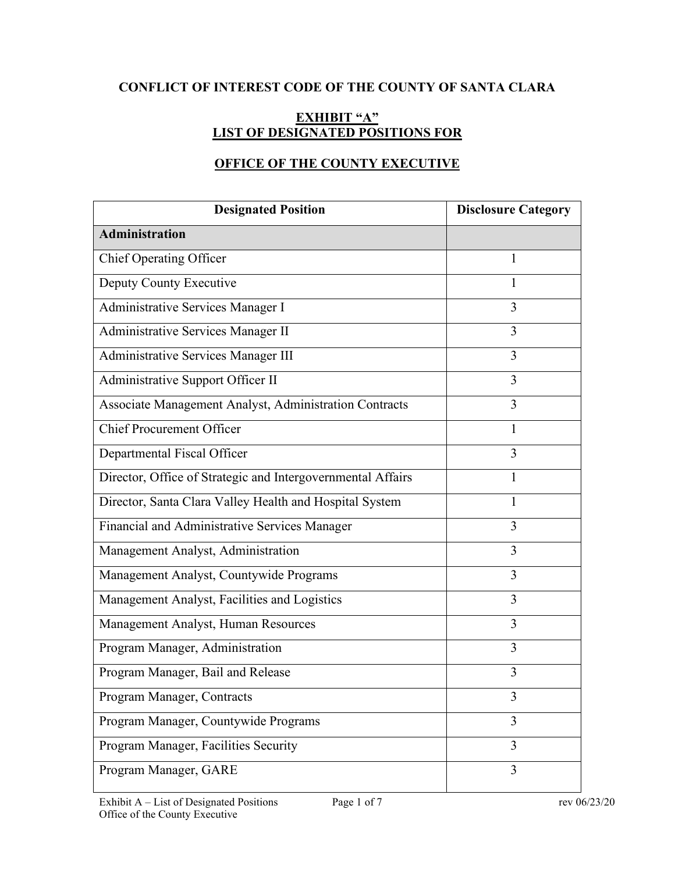# **CONFLICT OF INTEREST CODE OF THE COUNTY OF SANTA CLARA**

## **EXHIBIT "A" LIST OF DESIGNATED POSITIONS FOR**

# **OFFICE OF THE COUNTY EXECUTIVE**

| <b>Designated Position</b>                                  | <b>Disclosure Category</b> |
|-------------------------------------------------------------|----------------------------|
| <b>Administration</b>                                       |                            |
| <b>Chief Operating Officer</b>                              | 1                          |
| Deputy County Executive                                     | 1                          |
| Administrative Services Manager I                           | 3                          |
| Administrative Services Manager II                          | 3                          |
| Administrative Services Manager III                         | 3                          |
| Administrative Support Officer II                           | 3                          |
| Associate Management Analyst, Administration Contracts      | 3                          |
| <b>Chief Procurement Officer</b>                            | 1                          |
| Departmental Fiscal Officer                                 | 3                          |
| Director, Office of Strategic and Intergovernmental Affairs | 1                          |
| Director, Santa Clara Valley Health and Hospital System     | 1                          |
| Financial and Administrative Services Manager               | 3                          |
| Management Analyst, Administration                          | 3                          |
| Management Analyst, Countywide Programs                     | 3                          |
| Management Analyst, Facilities and Logistics                | 3                          |
| Management Analyst, Human Resources                         | 3                          |
| Program Manager, Administration                             | 3                          |
| Program Manager, Bail and Release                           | 3                          |
| Program Manager, Contracts                                  |                            |
| Program Manager, Countywide Programs                        | 3                          |
| Program Manager, Facilities Security                        | 3                          |
| Program Manager, GARE                                       | 3                          |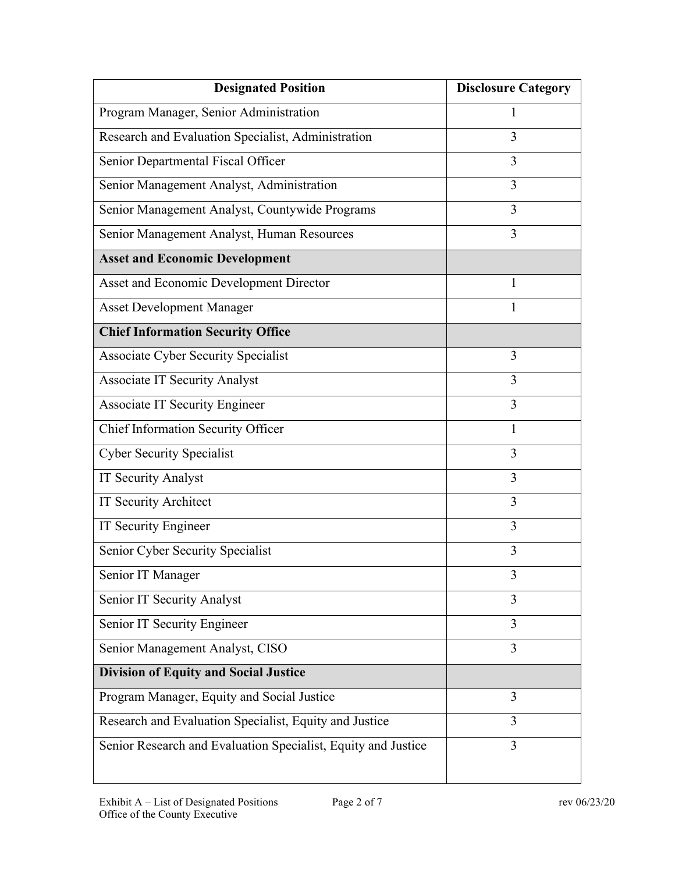| <b>Designated Position</b>                                    | <b>Disclosure Category</b> |
|---------------------------------------------------------------|----------------------------|
| Program Manager, Senior Administration                        | 1                          |
| Research and Evaluation Specialist, Administration            | 3                          |
| Senior Departmental Fiscal Officer                            | 3                          |
| Senior Management Analyst, Administration                     | 3                          |
| Senior Management Analyst, Countywide Programs                | 3                          |
| Senior Management Analyst, Human Resources                    | 3                          |
| <b>Asset and Economic Development</b>                         |                            |
| Asset and Economic Development Director                       | 1                          |
| <b>Asset Development Manager</b>                              | 1                          |
| <b>Chief Information Security Office</b>                      |                            |
| Associate Cyber Security Specialist                           | 3                          |
| <b>Associate IT Security Analyst</b>                          | 3                          |
| <b>Associate IT Security Engineer</b>                         | 3                          |
| Chief Information Security Officer                            | 1                          |
| <b>Cyber Security Specialist</b>                              | 3                          |
| IT Security Analyst                                           | 3                          |
| IT Security Architect                                         | 3                          |
| IT Security Engineer                                          | 3                          |
| Senior Cyber Security Specialist                              | 3                          |
| Senior IT Manager                                             | 3                          |
| Senior IT Security Analyst                                    | 3                          |
| Senior IT Security Engineer                                   | 3                          |
| Senior Management Analyst, CISO                               | 3                          |
| <b>Division of Equity and Social Justice</b>                  |                            |
| Program Manager, Equity and Social Justice                    | 3                          |
| Research and Evaluation Specialist, Equity and Justice        | 3                          |
| Senior Research and Evaluation Specialist, Equity and Justice | 3                          |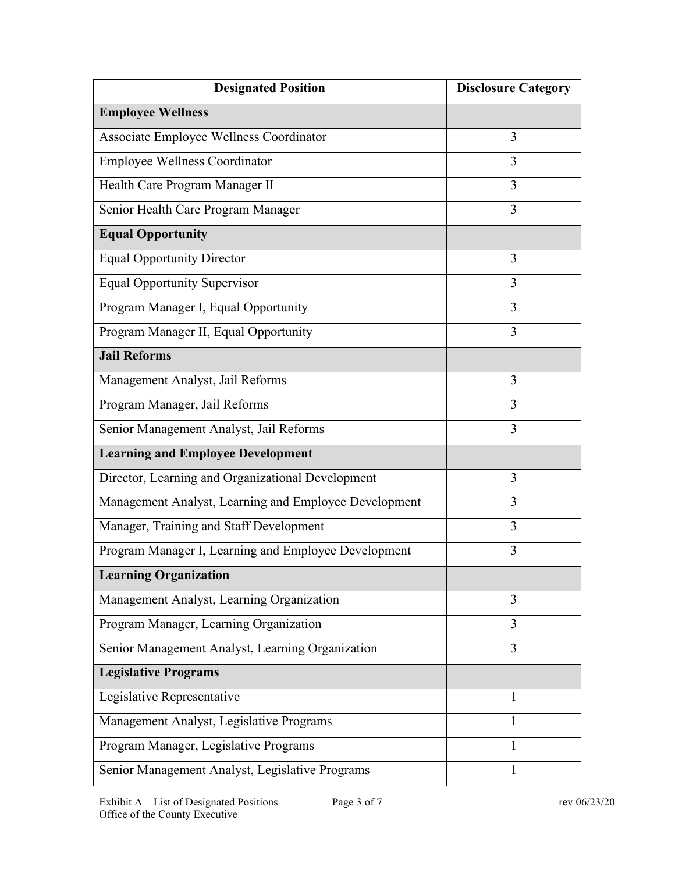| <b>Designated Position</b>                            | <b>Disclosure Category</b> |
|-------------------------------------------------------|----------------------------|
| <b>Employee Wellness</b>                              |                            |
| Associate Employee Wellness Coordinator               | 3                          |
| <b>Employee Wellness Coordinator</b>                  | 3                          |
| Health Care Program Manager II                        | 3                          |
| Senior Health Care Program Manager                    | 3                          |
| <b>Equal Opportunity</b>                              |                            |
| <b>Equal Opportunity Director</b>                     | 3                          |
| <b>Equal Opportunity Supervisor</b>                   | 3                          |
| Program Manager I, Equal Opportunity                  | 3                          |
| Program Manager II, Equal Opportunity                 | 3                          |
| <b>Jail Reforms</b>                                   |                            |
| Management Analyst, Jail Reforms                      | 3                          |
| Program Manager, Jail Reforms                         | 3                          |
| Senior Management Analyst, Jail Reforms               | 3                          |
| <b>Learning and Employee Development</b>              |                            |
| Director, Learning and Organizational Development     | 3                          |
| Management Analyst, Learning and Employee Development | 3                          |
| Manager, Training and Staff Development               | 3                          |
| Program Manager I, Learning and Employee Development  | 3                          |
| <b>Learning Organization</b>                          |                            |
| Management Analyst, Learning Organization             | 3                          |
| Program Manager, Learning Organization                | 3                          |
| Senior Management Analyst, Learning Organization      | 3                          |
| <b>Legislative Programs</b>                           |                            |
| Legislative Representative                            | 1                          |
| Management Analyst, Legislative Programs              | 1                          |
| Program Manager, Legislative Programs                 | 1                          |
| Senior Management Analyst, Legislative Programs       | 1                          |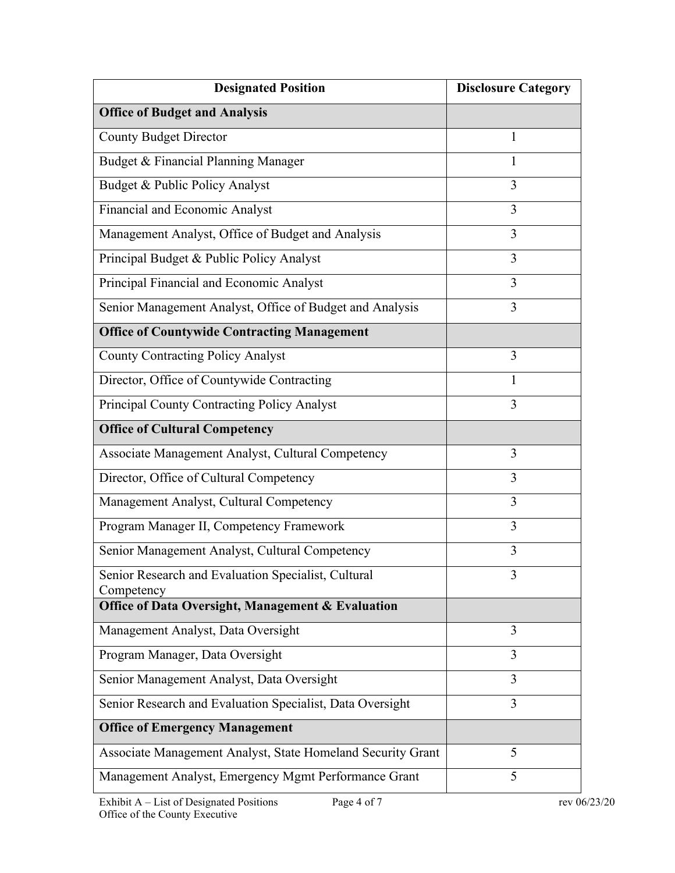| <b>Designated Position</b>                                        | <b>Disclosure Category</b> |
|-------------------------------------------------------------------|----------------------------|
| <b>Office of Budget and Analysis</b>                              |                            |
| <b>County Budget Director</b>                                     | 1                          |
| Budget & Financial Planning Manager                               | 1                          |
| Budget & Public Policy Analyst                                    | 3                          |
| Financial and Economic Analyst                                    | 3                          |
| Management Analyst, Office of Budget and Analysis                 | 3                          |
| Principal Budget & Public Policy Analyst                          | 3                          |
| Principal Financial and Economic Analyst                          | 3                          |
| Senior Management Analyst, Office of Budget and Analysis          | 3                          |
| <b>Office of Countywide Contracting Management</b>                |                            |
| <b>County Contracting Policy Analyst</b>                          | 3                          |
| Director, Office of Countywide Contracting                        | 1                          |
| Principal County Contracting Policy Analyst                       | 3                          |
| <b>Office of Cultural Competency</b>                              |                            |
| Associate Management Analyst, Cultural Competency                 | 3                          |
| Director, Office of Cultural Competency                           | 3                          |
| Management Analyst, Cultural Competency                           | 3                          |
| Program Manager II, Competency Framework                          | 3                          |
| Senior Management Analyst, Cultural Competency                    | 3                          |
| Senior Research and Evaluation Specialist, Cultural<br>Competency | 3                          |
| Office of Data Oversight, Management & Evaluation                 |                            |
| Management Analyst, Data Oversight                                | 3                          |
| Program Manager, Data Oversight                                   | 3                          |
| Senior Management Analyst, Data Oversight                         | 3                          |
| Senior Research and Evaluation Specialist, Data Oversight         | 3                          |
| <b>Office of Emergency Management</b>                             |                            |
| Associate Management Analyst, State Homeland Security Grant       | 5                          |
| Management Analyst, Emergency Mgmt Performance Grant              | 5                          |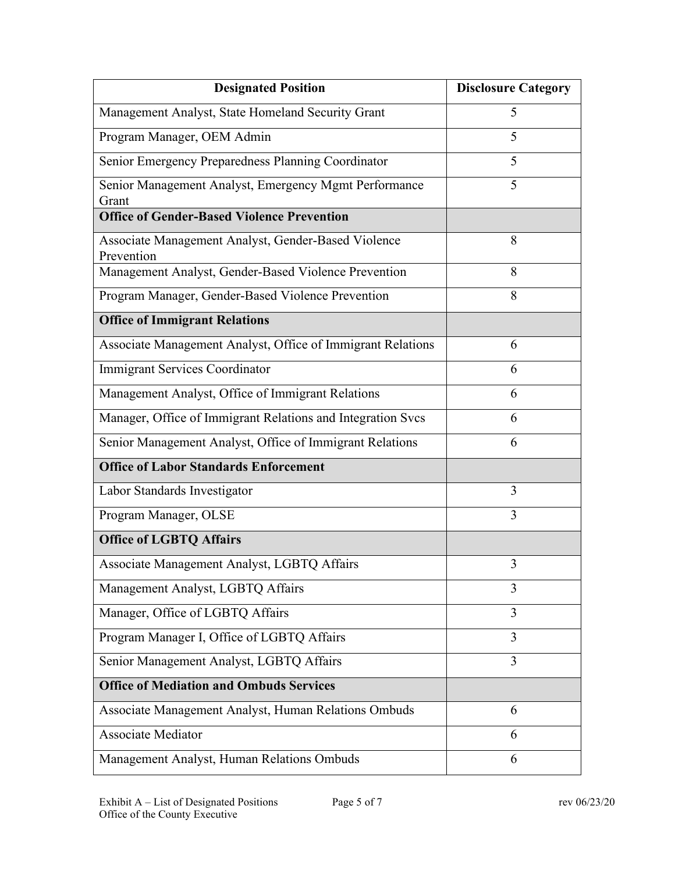| <b>Designated Position</b>                                  | <b>Disclosure Category</b> |
|-------------------------------------------------------------|----------------------------|
| Management Analyst, State Homeland Security Grant           | 5                          |
| Program Manager, OEM Admin                                  | 5                          |
| Senior Emergency Preparedness Planning Coordinator          | 5                          |
| Senior Management Analyst, Emergency Mgmt Performance       | 5                          |
| Grant<br><b>Office of Gender-Based Violence Prevention</b>  |                            |
| Associate Management Analyst, Gender-Based Violence         | 8                          |
| Prevention                                                  |                            |
| Management Analyst, Gender-Based Violence Prevention        | 8                          |
| Program Manager, Gender-Based Violence Prevention           | 8                          |
| <b>Office of Immigrant Relations</b>                        |                            |
| Associate Management Analyst, Office of Immigrant Relations | 6                          |
| Immigrant Services Coordinator                              | 6                          |
| Management Analyst, Office of Immigrant Relations           | 6                          |
| Manager, Office of Immigrant Relations and Integration Svcs | 6                          |
| Senior Management Analyst, Office of Immigrant Relations    | 6                          |
| <b>Office of Labor Standards Enforcement</b>                |                            |
| Labor Standards Investigator                                | 3                          |
| Program Manager, OLSE                                       | 3                          |
| <b>Office of LGBTQ Affairs</b>                              |                            |
| Associate Management Analyst, LGBTQ Affairs                 | 3                          |
| Management Analyst, LGBTQ Affairs                           | 3                          |
| Manager, Office of LGBTQ Affairs                            | 3                          |
| Program Manager I, Office of LGBTQ Affairs                  | 3                          |
| Senior Management Analyst, LGBTQ Affairs                    | 3                          |
| <b>Office of Mediation and Ombuds Services</b>              |                            |
| Associate Management Analyst, Human Relations Ombuds        | 6                          |
| <b>Associate Mediator</b>                                   | 6                          |
| Management Analyst, Human Relations Ombuds                  | 6                          |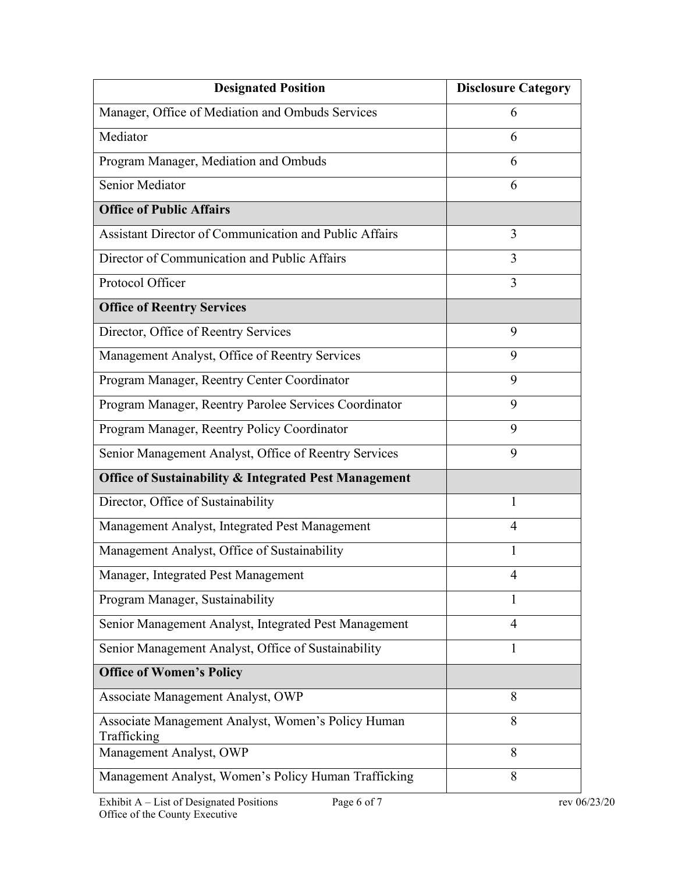| <b>Designated Position</b>                                        | <b>Disclosure Category</b> |
|-------------------------------------------------------------------|----------------------------|
| Manager, Office of Mediation and Ombuds Services                  | 6                          |
| Mediator                                                          | 6                          |
| Program Manager, Mediation and Ombuds                             | 6                          |
| Senior Mediator                                                   | 6                          |
| <b>Office of Public Affairs</b>                                   |                            |
| Assistant Director of Communication and Public Affairs            | 3                          |
| Director of Communication and Public Affairs                      | 3                          |
| Protocol Officer                                                  | 3                          |
| <b>Office of Reentry Services</b>                                 |                            |
| Director, Office of Reentry Services                              | 9                          |
| Management Analyst, Office of Reentry Services                    | 9                          |
| Program Manager, Reentry Center Coordinator                       | 9                          |
| Program Manager, Reentry Parolee Services Coordinator             | 9                          |
| Program Manager, Reentry Policy Coordinator                       | 9                          |
| Senior Management Analyst, Office of Reentry Services             | 9                          |
| Office of Sustainability & Integrated Pest Management             |                            |
| Director, Office of Sustainability                                | 1                          |
| Management Analyst, Integrated Pest Management                    | 4                          |
| Management Analyst, Office of Sustainability                      | 1                          |
| Manager, Integrated Pest Management                               |                            |
| Program Manager, Sustainability                                   | 1                          |
| Senior Management Analyst, Integrated Pest Management             | 4                          |
| Senior Management Analyst, Office of Sustainability               | 1                          |
| <b>Office of Women's Policy</b>                                   |                            |
| Associate Management Analyst, OWP                                 | 8                          |
| Associate Management Analyst, Women's Policy Human<br>Trafficking | 8                          |
| Management Analyst, OWP                                           | 8                          |
| Management Analyst, Women's Policy Human Trafficking              | 8                          |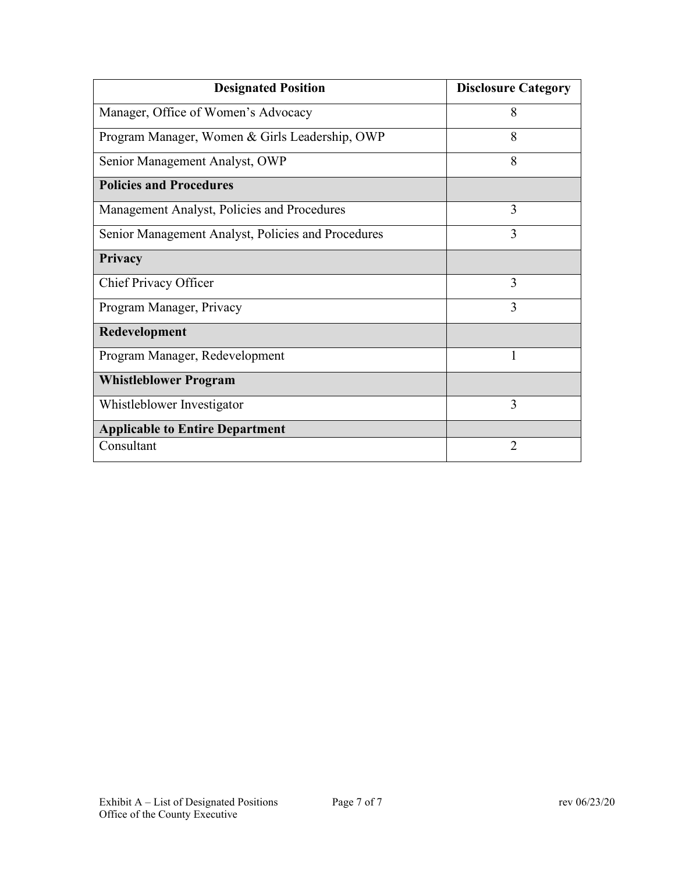| <b>Designated Position</b>                         | <b>Disclosure Category</b> |
|----------------------------------------------------|----------------------------|
| Manager, Office of Women's Advocacy                | 8                          |
| Program Manager, Women & Girls Leadership, OWP     | 8                          |
| Senior Management Analyst, OWP                     | 8                          |
| <b>Policies and Procedures</b>                     |                            |
| Management Analyst, Policies and Procedures        | 3                          |
| Senior Management Analyst, Policies and Procedures | 3                          |
| Privacy                                            |                            |
| Chief Privacy Officer                              | 3                          |
| Program Manager, Privacy                           | 3                          |
| Redevelopment                                      |                            |
| Program Manager, Redevelopment                     | 1                          |
| <b>Whistleblower Program</b>                       |                            |
| Whistleblower Investigator                         | 3                          |
| <b>Applicable to Entire Department</b>             |                            |
| Consultant                                         | 2                          |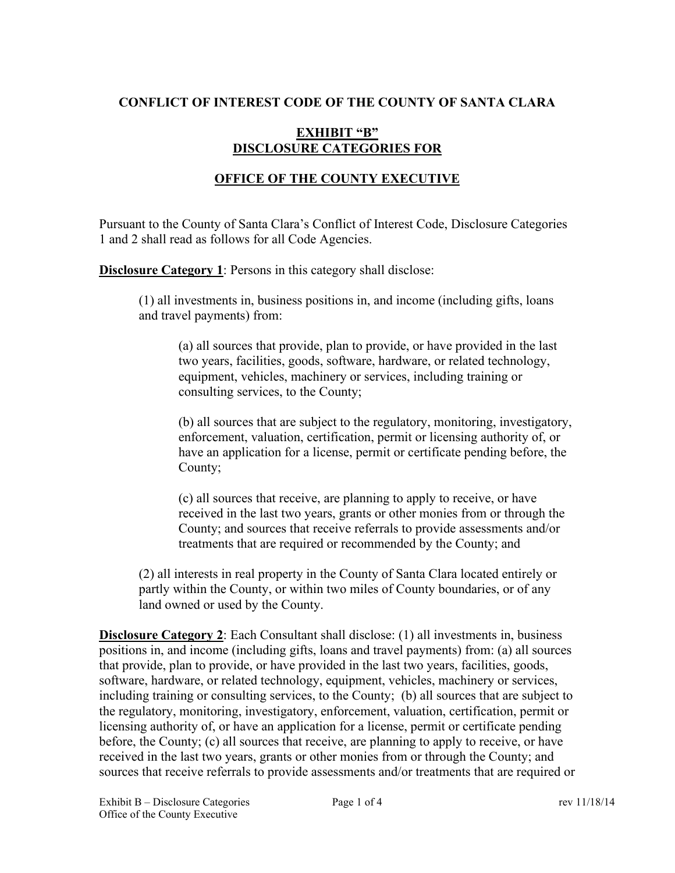#### **CONFLICT OF INTEREST CODE OF THE COUNTY OF SANTA CLARA**

### **EXHIBIT "B" DISCLOSURE CATEGORIES FOR**

### **OFFICE OF THE COUNTY EXECUTIVE**

Pursuant to the County of Santa Clara's Conflict of Interest Code, Disclosure Categories 1 and 2 shall read as follows for all Code Agencies.

**Disclosure Category 1**: Persons in this category shall disclose:

(1) all investments in, business positions in, and income (including gifts, loans and travel payments) from:

(a) all sources that provide, plan to provide, or have provided in the last two years, facilities, goods, software, hardware, or related technology, equipment, vehicles, machinery or services, including training or consulting services, to the County;

(b) all sources that are subject to the regulatory, monitoring, investigatory, enforcement, valuation, certification, permit or licensing authority of, or have an application for a license, permit or certificate pending before, the County;

(c) all sources that receive, are planning to apply to receive, or have received in the last two years, grants or other monies from or through the County; and sources that receive referrals to provide assessments and/or treatments that are required or recommended by the County; and

(2) all interests in real property in the County of Santa Clara located entirely or partly within the County, or within two miles of County boundaries, or of any land owned or used by the County.

**Disclosure Category 2**: Each Consultant shall disclose: (1) all investments in, business positions in, and income (including gifts, loans and travel payments) from: (a) all sources that provide, plan to provide, or have provided in the last two years, facilities, goods, software, hardware, or related technology, equipment, vehicles, machinery or services, including training or consulting services, to the County; (b) all sources that are subject to the regulatory, monitoring, investigatory, enforcement, valuation, certification, permit or licensing authority of, or have an application for a license, permit or certificate pending before, the County; (c) all sources that receive, are planning to apply to receive, or have received in the last two years, grants or other monies from or through the County; and sources that receive referrals to provide assessments and/or treatments that are required or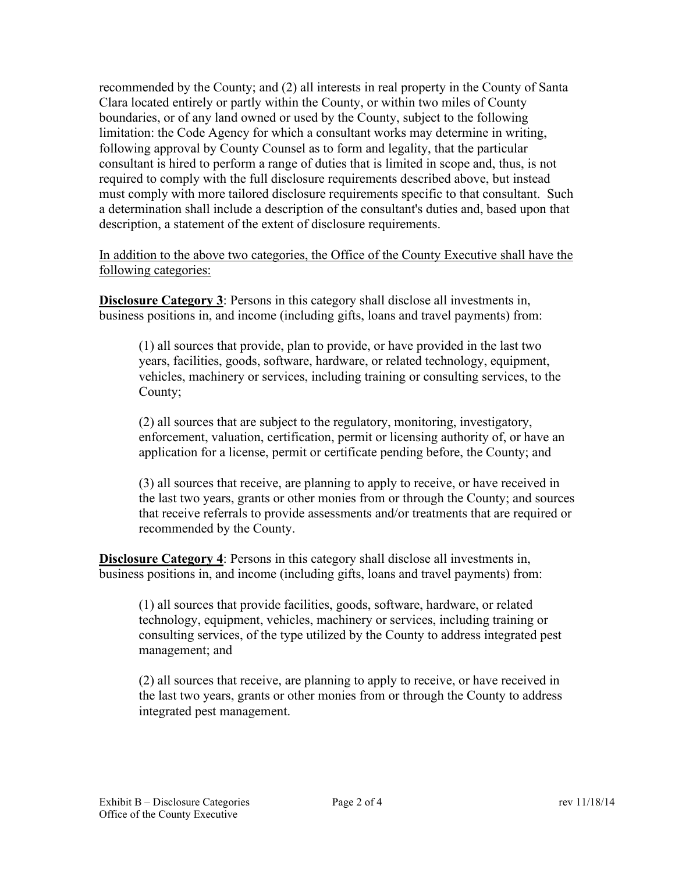recommended by the County; and (2) all interests in real property in the County of Santa Clara located entirely or partly within the County, or within two miles of County boundaries, or of any land owned or used by the County, subject to the following limitation: the Code Agency for which a consultant works may determine in writing, following approval by County Counsel as to form and legality, that the particular consultant is hired to perform a range of duties that is limited in scope and, thus, is not required to comply with the full disclosure requirements described above, but instead must comply with more tailored disclosure requirements specific to that consultant. Such a determination shall include a description of the consultant's duties and, based upon that description, a statement of the extent of disclosure requirements.

In addition to the above two categories, the Office of the County Executive shall have the following categories:

**Disclosure Category 3**: Persons in this category shall disclose all investments in, business positions in, and income (including gifts, loans and travel payments) from:

(1) all sources that provide, plan to provide, or have provided in the last two years, facilities, goods, software, hardware, or related technology, equipment, vehicles, machinery or services, including training or consulting services, to the County;

(2) all sources that are subject to the regulatory, monitoring, investigatory, enforcement, valuation, certification, permit or licensing authority of, or have an application for a license, permit or certificate pending before, the County; and

(3) all sources that receive, are planning to apply to receive, or have received in the last two years, grants or other monies from or through the County; and sources that receive referrals to provide assessments and/or treatments that are required or recommended by the County.

**Disclosure Category 4**: Persons in this category shall disclose all investments in, business positions in, and income (including gifts, loans and travel payments) from:

(1) all sources that provide facilities, goods, software, hardware, or related technology, equipment, vehicles, machinery or services, including training or consulting services, of the type utilized by the County to address integrated pest management; and

(2) all sources that receive, are planning to apply to receive, or have received in the last two years, grants or other monies from or through the County to address integrated pest management.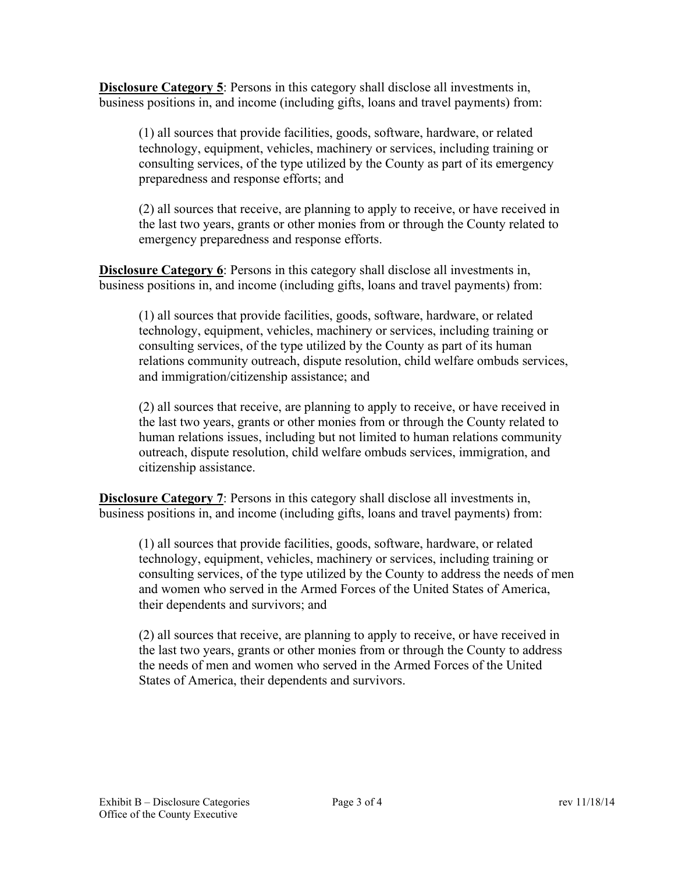**Disclosure Category 5**: Persons in this category shall disclose all investments in, business positions in, and income (including gifts, loans and travel payments) from:

(1) all sources that provide facilities, goods, software, hardware, or related technology, equipment, vehicles, machinery or services, including training or consulting services, of the type utilized by the County as part of its emergency preparedness and response efforts; and

(2) all sources that receive, are planning to apply to receive, or have received in the last two years, grants or other monies from or through the County related to emergency preparedness and response efforts.

**Disclosure Category 6**: Persons in this category shall disclose all investments in, business positions in, and income (including gifts, loans and travel payments) from:

(1) all sources that provide facilities, goods, software, hardware, or related technology, equipment, vehicles, machinery or services, including training or consulting services, of the type utilized by the County as part of its human relations community outreach, dispute resolution, child welfare ombuds services, and immigration/citizenship assistance; and

(2) all sources that receive, are planning to apply to receive, or have received in the last two years, grants or other monies from or through the County related to human relations issues, including but not limited to human relations community outreach, dispute resolution, child welfare ombuds services, immigration, and citizenship assistance.

**Disclosure Category 7**: Persons in this category shall disclose all investments in, business positions in, and income (including gifts, loans and travel payments) from:

(1) all sources that provide facilities, goods, software, hardware, or related technology, equipment, vehicles, machinery or services, including training or consulting services, of the type utilized by the County to address the needs of men and women who served in the Armed Forces of the United States of America, their dependents and survivors; and

(2) all sources that receive, are planning to apply to receive, or have received in the last two years, grants or other monies from or through the County to address the needs of men and women who served in the Armed Forces of the United States of America, their dependents and survivors.